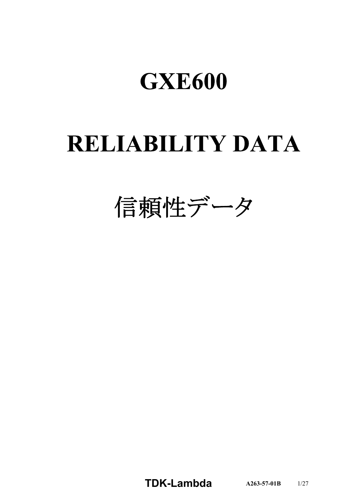# **GXE600**

# **RELIABILITY DATA**

信頼性データ

**TDK-Lambda**  $A263-57-01B$  1/27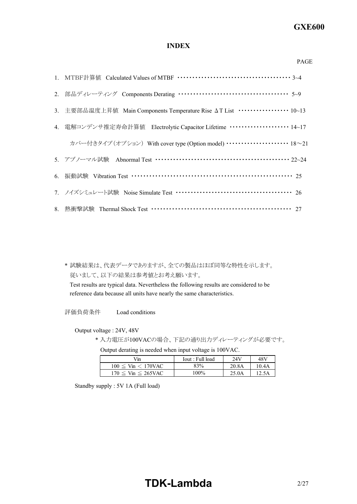# **GXE600**

PAGE

# **INDEX**

| 2. 部品ディレーティング Components Derating ……………………………………… 5~9                         |
|-------------------------------------------------------------------------------|
| 3. 主要部品温度上昇值 Main Components Temperature Rise △T List ················· 10~13 |
| 4. 電解コンデンサ推定寿命計算値 Electrolytic Capacitor Lifetime ···················· 14~17  |
| カバー付きタイプ (オプション) With cover type (Option model) ……………………… 18~21               |
| 5. アブノーマル試験 Abnormal Test ……………………………………………… 22~24                            |
| 6. 振動試験 Vibration Test ………………………………………………………… 25                              |
|                                                                               |
|                                                                               |

\* 試験結果は、代表データでありますが、全ての製品はほぼ同等な特性を示します。 従いまして、以下の結果は参考値とお考え願います。

Test results are typical data. Nevertheless the following results are considered to be reference data because all units have nearly the same characteristics.

評価負荷条件 Load conditions

Output voltage : 24V, 48V

\* 入力電圧が100VACの場合、下記の通り出力ディレーティングが必要です。

Output derating is needed when input voltage is 100VAC.

| Vin                           | Tout : Full load | 24V   | 48V   |
|-------------------------------|------------------|-------|-------|
| $100 \leq$ Vin $\leq 170$ VAC | 83%              | 20.8A | 10.4A |
| $170 \leq$ Vin $\leq$ 265VAC  | $100\%$          | 25.0A | 12.5A |

Standby supply : 5V 1A (Full load)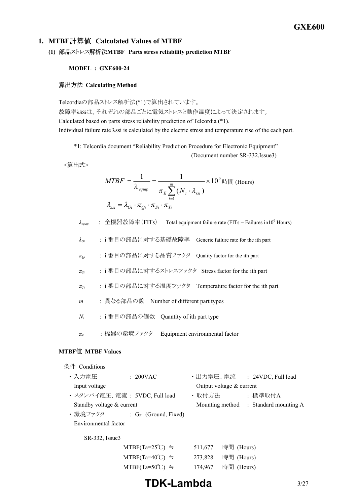# **1. MTBF Calculated Values of MTBF**

**(1) MTBF Parts stress reliability prediction MTBF**

### **MODEL : GXE600-24**

### **算出方法 Calculating Method**

Telcordiaの部品ストレス解析法(\*1)で算出されています。 故障率λSSiは、それぞれの部品ごとに電気ストレスと動作温度によって決定されます。 Calculated based on parts stress reliability prediction of Telcordia (\*1). Individual failure rate λssi is calculated by the electric stress and temperature rise of the each part.

\*1: Telcordia document "Reliability Prediction Procedure for Electronic Equipment"

(Document number SR-332, Issue3)

<算出式>

$$
MTBF = \frac{1}{\lambda_{\text{equip}}} = \frac{1}{\pi_E \sum_{i=1}^{m} (N_i \cdot \lambda_{\text{ssi}})} \times 10^9 \text{ E}
$$
 (Hours)  

$$
\lambda_{\text{ssi}} = \lambda_{\text{Gi}} \cdot \pi_{\text{Qi}} \cdot \pi_{\text{Si}} \cdot \pi_{\text{Ti}}
$$

 $λ_{\text{equip}}$  : 全機器故障率 (FITs) Total equipment failure rate (FITs = Failures in10<sup>9</sup> Hours)

*λGi* : i 番目の部品に対する基礎故障率 Generic failure rate for the ith part

*πQi* : i 番目の部品に対する品質ファクタ Quality factor for the ith part

*πSi* : i 番目の部品に対するストレスファクタ Stress factor for the ith part

- *πTi* : i 番目の部品に対する温度ファクタ Temperature factor for the ith part
- *m* : 異なる部品の数 Number of different part types
- *N<sup>i</sup>* : i 番目の部品の個数 Quantity of ith part type
- *π<sup>E</sup>* : 機器の環境ファクタ Equipment environmental factor

# **MTBF MTBF Values**

### 条件 Conditions

| ・入力電圧                         | $: 200$ VAC             | ・出力電圧、電流                   | : 24VDC, Full load                    |
|-------------------------------|-------------------------|----------------------------|---------------------------------------|
| Input voltage                 |                         | Output voltage $&$ current |                                       |
| ・スタンバイ電圧、電流 : 5VDC, Full load |                         | ・取付方法                      | :標準取付A                                |
| Standby voltage & current     |                         |                            | Mounting method : Standard mounting A |
| ・環境ファクタ                       | : $G_F$ (Ground, Fixed) |                            |                                       |

SR-332, Issue3

Environmental factor

| $MTBF(Ta=25^{\circ}C) =$ | 511,677 | 時間 (Hours) |
|--------------------------|---------|------------|
| $MTBF(Ta=40^{\circ}C) =$ | 273,828 | 時間 (Hours) |
| $MTBF(Ta=50^{\circ}C) =$ | 174,967 | 時間 (Hours) |

# **TDK-Lambda** 3/27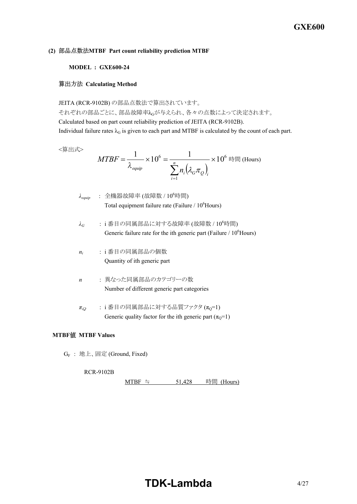## **(2) MTBF Part count reliability prediction MTBF**

### **MODEL : GXE600-24**

### **算出方法 Calculating Method**

JEITA (RCR-9102B) の部品点数法で算出されています。

それぞれの部品ごとに、部品故障率λGが与えられ、各々の点数によって決定されます。 Calculated based on part count reliability prediction of JEITA (RCR-9102B). Individual failure rates  $\lambda_G$  is given to each part and MTBF is calculated by the count of each part.

<算出式>

$$
MTBF = \frac{1}{\lambda_{\text{equiv}}} \times 10^6 = \frac{1}{\sum_{i=1}^n n_i (\lambda_G \pi_Q)_i} \times 10^6 \text{ H (Hours)}
$$

- $λ_{\text{eaulip}}$  : 全機器故障率 (故障数 / 10<sup>6</sup>時間) Total equipment failure rate (Failure  $/ 10^6$ Hours)
- $\lambda$ <sup>G</sup> : i 番目の同属部品に対する故障率 (故障数 / 10<sup>6</sup>時間) Generic failure rate for the ith generic part (Failure  $/ 10^6$ Hours)
- *ni* : i 番目の同属部品の個数 Quantity of ith generic part
- *n* : 異なった同属部品のカテゴリーの数 Number of different generic part categories
- $\pi_Q$  : i 番目の同属部品に対する品質ファクタ ( $\pi_Q$ =1) Generic quality factor for the ith generic part  $(\pi_Q=1)$

# **MTBF MTBF Values**

G<sup>F</sup> : 地上、固定 (Ground, Fixed)

RCR-9102B

 $MTBF$   $\approx$  51,428 時間 (Hours)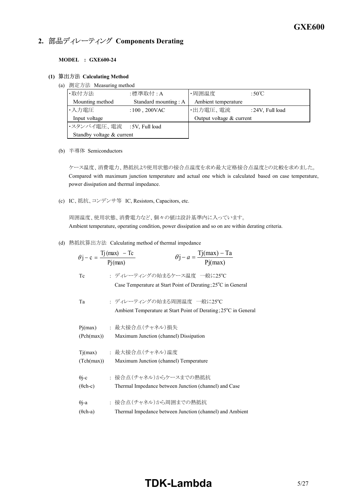# **2. 部品ディレーティング Components Derating**

**MODEL : GXE600-24** 

### **(1) Calculating Method**

(a) 測定方法 Measuring method

| ・取付方法                      | :標準取付 : A            | ・周囲温度                    | :50°C           |
|----------------------------|----------------------|--------------------------|-----------------|
| Mounting method            | Standard mounting: A | Ambient temperature      |                 |
| ・入力電圧                      | $:100$ , 200VAC      | ・出力電圧、電流                 | :24V, Full load |
| Input voltage              |                      | Output voltage & current |                 |
| ・スタンバイ電圧、電流 :5V, Full load |                      |                          |                 |
| Standby voltage & current  |                      |                          |                 |

(b) 半導体 Semiconductors

ケース温度、消費電力、熱抵抗より使用状態の接合点温度を求め最大定格接合点温度との比較を求めました。 Compared with maximum junction temperature and actual one which is calculated based on case temperature, power dissipation and thermal impedance.

(c) IC、抵抗、コンデンサ等 IC, Resistors, Capacitors, etc.

周囲温度、使用状態、消費電力など、個々の値は設計基準内に入っています。 Ambient temperature, operating condition, power dissipation and so on are within derating criteria.

(d) 熱抵抗算出方法 Calculating method of thermal impedance

|                 | $\theta j - a = \frac{Tj(max) - Ta}{Pi(max)}$<br>$\theta$ j – c = $\frac{Tj(max) - Tc}{Pj(max)}$          |
|-----------------|-----------------------------------------------------------------------------------------------------------|
| Tc              | : ディレーティングの始まるケース温度 一般に25℃<br>Case Temperature at Start Point of Derating; 25 <sup>°</sup> C in General   |
| Ta              | : ディレーティングの始まる周囲温度 一般に25℃<br>Ambient Temperature at Start Point of Derating; 25 <sup>o</sup> C in General |
| Pj(max)         | : 最大接合点 (チャネル)損失                                                                                          |
| (Pch(max))      | Maximum Junction (channel) Dissipation                                                                    |
| Tj(max)         | : 最大接合点(チャネル)温度                                                                                           |
| (Tch(max))      | Maximum Junction (channel) Temperature                                                                    |
| $\theta$ j-c    | : 接合点(チャネル)からケースまでの熱抵抗                                                                                    |
| $(\theta$ ch-c) | Thermal Impedance between Junction (channel) and Case                                                     |
| $\theta$ j-a    | : 接合点(チャネル)から周囲までの熱抵抗                                                                                     |
| $(\theta$ ch-a) | Thermal Impedance between Junction (channel) and Ambient                                                  |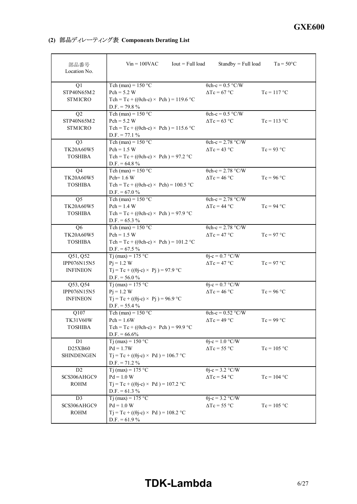**(2) Components Derating List**

| 部品番号<br>Location No.                          | $Iout = Full load$<br>$Vin = 100$ VAC                                                                                   | $Standby = Full load$                                   | $Ta = 50^{\circ}C$ |
|-----------------------------------------------|-------------------------------------------------------------------------------------------------------------------------|---------------------------------------------------------|--------------------|
| Q1<br>STP40N65M2<br><b>STMICRO</b>            | Tch (max) = $150 °C$<br>$Pch = 5.2 W$<br>Tch = Tc + (( $\theta$ ch-c) × Pch) = 119.6 °C<br>$D.F. = 79.8 \%$             | $\theta$ ch-c = 0.5 °C/W<br>$\Delta Tc = 67$ °C         | $Tc = 117$ °C      |
| Q2<br>STP40N65M2<br><b>STMICRO</b>            | Tch (max) = $150 °C$<br>$Pch = 5.2 W$<br>Tch = Tc + (( $\theta$ ch-c) × Pch) = 115.6 °C<br>$D.F. = 77.1 \%$             | $\theta$ ch-c = 0.5 °C/W<br>$\Delta Tc = 63$ °C         | $Tc = 113 °C$      |
| Q <sub>3</sub><br>TK20A60W5<br><b>TOSHIBA</b> | Tch (max) = $150 °C$<br>$Pch = 1.5 W$<br>Tch = Tc + (( $\theta$ ch-c) × Pch) = 97.2 °C<br>$D.F. = 64.8 \%$              | $\theta$ ch-c = 2.78 °C/W<br>$\Delta Tc = 43$ °C        | $Tc = 93 °C$       |
| Q4<br>TK20A60W5<br><b>TOSHIBA</b>             | Tch (max) = $150 °C$<br>Pch= 1.6 W<br>Tch = Tc + (( $\theta$ ch-c) × Pch) = 100.5 °C<br>$D.F. = 67.0 %$                 | $\theta$ ch-c = 2.78 °C/W<br>$\Delta Tc = 46$ °C        | $Tc = 96 °C$       |
| Q <sub>5</sub><br>TK20A60W5<br><b>TOSHIBA</b> | Tch (max) = $150 °C$<br>$Pch = 1.4 W$<br>Tch = Tc + (( $\theta$ ch-c) × Pch) = 97.9 °C<br>$D.F. = 65.3 %$               | $\theta$ ch-c = 2.78 °C/W<br>$\Delta Tc = 44$ °C        | $Tc = 94 °C$       |
| Q <sub>6</sub><br>TK20A60W5<br><b>TOSHIBA</b> | Tch (max) = $150 °C$<br>$Pch = 1.5 W$<br>Tch = Tc + (( $\theta$ ch-c) × Pch) = 101.2 °C<br>$D.F. = 67.5 \%$             | $\theta$ ch-c = 2.78 °C/W<br>$\Delta Tc = 47$ °C        | $Tc = 97 °C$       |
| Q51, Q52<br>IPP076N15N5<br><b>INFINEON</b>    | $Tj$ (max) = 175 °C<br>$Pj = 1.2 W$<br>$Tj = Tc + ((\theta j - c) \times Pj) = 97.9$ °C<br>D.F. = 56.0 $\%$             | $\theta$ j-c = 0.7 °C/W<br>$\Delta Tc = 47$ °C          | $Tc = 97 °C$       |
| Q53, Q54<br>IPP076N15N5<br><b>INFINEON</b>    | $\overline{Tj}$ (max) = 175 °C<br>$Pi = 1.2 W$<br>$Tj = Tc + ((\theta j-c) \times Pj) = 96.9$ °C<br>$D.F. = 55.4 \%$    | $\theta$ j-c = 0.7 °C/W<br>$\Delta Tc = 46$ °C          | $Tc = 96 °C$       |
| Q107<br>TK31V60W<br><b>TOSHIBA</b>            | Tch (max) = $150 °C$<br>$Pch = 1.6W$<br>Tch = Tc + (( $\theta$ ch-c) × Pch) = 99.9 °C<br>$D.F. = 66.6\%$                | $\theta$ ch-c = 0.52 °C/W<br>$\Delta Tc = 49 \degree C$ | $Tc = 99 °C$       |
| D1<br>D25XB60<br><b>SHINDENGEN</b>            | T <sub>j</sub> (max) = $150 °C$<br>$Pd = 1.7W$<br>$Tj = Tc + ((\theta j - c) \times Pd) = 106.7$ °C<br>$D.F. = 71.2 \%$ | $\theta$ j-c = 1.0 °C/W<br>$\Delta Tc = 55 \degree C$   | $Tc = 105 °C$      |
| D2<br>SCS306AHGC9<br>ROHM                     | Tj (max) = $175$ °C<br>$Pd = 1.0 W$<br>$Tj = Tc + ((\theta j - c) \times Pd) = 107.2$ °C<br>$D.F. = 61.3 %$             | $\theta$ j-c = 3.2 °C/W<br>$\Delta Tc = 54$ °C          | $Tc = 104 °C$      |
| D <sub>3</sub><br>SCS306AHGC9<br>ROHM         | Tj (max) = $175$ °C<br>$Pd = 1.0 W$<br>$Tj = Tc + ((\theta j - c) \times Pd) = 108.2$ °C<br>$D.F. = 61.9 \%$            | $\theta$ j-c = 3.2 °C/W<br>$\Delta Tc = 55 \degree C$   | $Tc = 105 °C$      |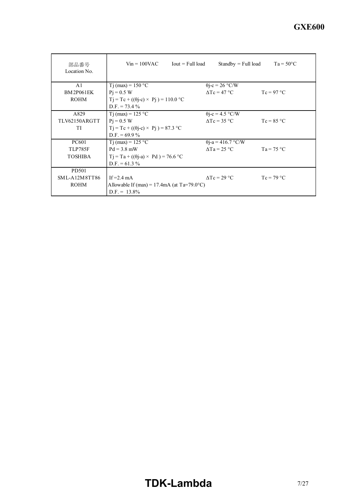| 部品番号<br>Location No. | $Vin = 100VAC$ Iout = Full load                      | $Standby = Full load$     | $Ta = 50^{\circ}C$ |
|----------------------|------------------------------------------------------|---------------------------|--------------------|
| A <sub>1</sub>       | T <sub>j</sub> (max) = $150 °C$                      | $\theta$ j-c = 26 °C/W    |                    |
| <b>BM2P061EK</b>     | $Pi = 0.5 W$                                         | $\Delta Tc = 47$ °C       | $Tc = 97 °C$       |
| <b>ROHM</b>          | $Tj = Tc + ((\theta j - c) \times Pj) = 110.0$ °C    |                           |                    |
|                      | $D.F. = 73.4\%$                                      |                           |                    |
| A829                 | T <sub>j</sub> (max) = $125 °C$                      | $\theta$ j-c = 4.5 °C/W   |                    |
| TLV62150ARGTT        | $Pi = 0.5 W$                                         | $\Delta Tc = 35$ °C       | $Tc = 85 °C$       |
| TI                   | $Tj = Tc + ((\theta j - c) \times Pj) = 87.3$ °C     |                           |                    |
|                      | $D.F. = 69.9 \%$                                     |                           |                    |
| <b>PC601</b>         | T <sub>j</sub> (max) = $125 °C$                      | $\theta$ j-a = 416.7 °C/W |                    |
| TLP785F              | $Pd = 3.8$ mW                                        | $\Delta$ Ta = 25 °C       | $Ta = 75 °C$       |
| <b>TOSHIBA</b>       | $Ti = Ta + ((\theta i - a) \times Pd) = 76.6$ °C     |                           |                    |
|                      | $D.F. = 61.3 \%$                                     |                           |                    |
| PD501                |                                                      |                           |                    |
| $SML-A12M8TT86$      | If $=2.4$ mA                                         | $\Lambda$ Tc = 29 °C      | $T_c = 79 °C$      |
| <b>ROHM</b>          | Allowable If (max) = 17.4mA (at $Ta=79.0^{\circ}C$ ) |                           |                    |
|                      | $D.F. = 13.8\%$                                      |                           |                    |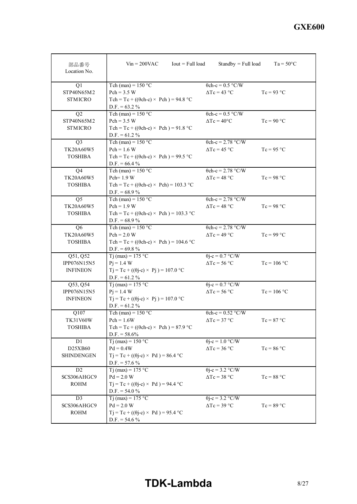| 部品番号<br>Location No.           | $Vin = 200VAC$<br>$Iout = Full load$                              | $Standby = Full load$                          | $Ta = 50^{\circ}C$ |
|--------------------------------|-------------------------------------------------------------------|------------------------------------------------|--------------------|
| Q1                             | Tch (max) = $150 °C$                                              | $\theta$ ch-c = 0.5 °C/W                       |                    |
| STP40N65M2                     | $Pch = 3.5 W$                                                     | $\Delta Tc = 43$ °C                            | $Tc = 93 °C$       |
| <b>STMICRO</b>                 | Tch = Tc + (( $\theta$ ch-c) × Pch) = 94.8 °C                     |                                                |                    |
|                                | $D.F. = 63.2 \%$                                                  |                                                |                    |
| Q2                             | Tch (max) = $150 °C$                                              | $\theta$ ch-c = 0.5 °C/W                       |                    |
| STP40N65M2                     | $Pch = 3.5 W$                                                     | $\Delta Tc = 40^{\circ}C$                      | $Tc = 90 °C$       |
| <b>STMICRO</b>                 | Tch = Tc + (( $\theta$ ch-c) × Pch) = 91.8 °C                     |                                                |                    |
|                                | $D.F. = 61.2 \%$                                                  |                                                |                    |
| Q <sub>3</sub>                 | Tch (max) = $150 °C$                                              | $\theta$ ch-c = 2.78 °C/W                      |                    |
| TK20A60W5                      | $Pch = 1.6 W$                                                     | $\Delta Tc = 45$ °C                            | $Tc = 95 °C$       |
| <b>TOSHIBA</b>                 | Tch = Tc + (( $\theta$ ch-c) × Pch) = 99.5 °C                     |                                                |                    |
|                                | $D.F. = 66.4 %$                                                   |                                                |                    |
| Q <sub>4</sub>                 | Tch (max) = $150 °C$                                              | $\theta$ ch-c = 2.78 °C/W                      |                    |
| TK20A60W5                      | Pch= 1.9 W                                                        | $\Delta Tc = 48$ °C                            | $Tc = 98 °C$       |
| <b>TOSHIBA</b>                 | Tch = Tc + (( $\theta$ ch-c) × Pch) = 103.3 °C                    |                                                |                    |
|                                | D.F. = $68.9\%$                                                   |                                                |                    |
| Q <sub>5</sub>                 | Tch (max) = $150 °C$                                              | $\theta$ ch-c = 2.78 °C/W                      |                    |
| TK20A60W5                      | $Pch = 1.9 W$                                                     | $\Delta Tc = 48 °C$                            | $Tc = 98 °C$       |
| <b>TOSHIBA</b>                 | Tch = Tc + (( $\theta$ ch-c) × Pch) = 103.3 °C                    |                                                |                    |
|                                | D.F. = $68.9\%$                                                   |                                                |                    |
| Q <sub>6</sub>                 | Tch (max) = $150 °C$                                              | $\theta$ ch-c = 2.78 °C/W                      |                    |
| TK20A60W5                      | $Pch = 2.0 W$                                                     | $\Delta Tc = 49$ °C                            | $Tc = 99 °C$       |
| <b>TOSHIBA</b>                 | Tch = Tc + (( $\theta$ ch-c) × Pch) = 104.6 °C                    |                                                |                    |
|                                | D.F. = $69.8\%$                                                   |                                                |                    |
| Q51, Q52                       | Tj (max) = $175$ °C                                               | $\theta$ j-c = 0.7 °C/W                        |                    |
| IPP076N15N5                    | $Pi = 1.4 W$                                                      | $\Delta Tc = 56$ °C                            | $Tc = 106$ °C      |
| <b>INFINEON</b>                | $Tj = Tc + ((\theta j - c) \times Pj) = 107.0$ °C                 |                                                |                    |
|                                | $D.F. = 61.2 \%$                                                  |                                                |                    |
| Q53, Q54                       | Tj (max) = $175$ °C                                               | $\theta$ j-c = 0.7 °C/W<br>$\Delta Tc = 56$ °C | $Tc = 106$ °C      |
| IPP076N15N5<br><b>INFINEON</b> | $Pi = 1.4 W$<br>$Tj = Tc + ((\theta j - c) \times Pj) = 107.0$ °C |                                                |                    |
|                                | $D.F. = 61.2 \%$                                                  |                                                |                    |
| Q107                           | Tch (max) = $150 °C$                                              | $\theta$ ch-c = 0.52 °C/W                      |                    |
| <b>TK31V60W</b>                | $Pch = 1.6W$                                                      | $\Delta Tc = 37$ °C                            | $Tc = 87 °C$       |
| <b>TOSHIBA</b>                 | Tch = Tc + (( $\theta$ ch-c) × Pch) = 87.9 °C                     |                                                |                    |
|                                | $D.F. = 58.6\%$                                                   |                                                |                    |
| D1                             | Tj (max) = $150$ °C                                               | $\theta$ j-c = 1.0 °C/W                        |                    |
| D25XB60                        | $Pd = 0.4W$                                                       | $\Delta Tc = 36$ °C                            | $Tc = 86 °C$       |
| <b>SHINDENGEN</b>              | $Tj = Tc + ((\theta j - c) \times Pd) = 86.4$ °C                  |                                                |                    |
|                                | $D.F. = 57.6 \%$                                                  |                                                |                    |
| D <sub>2</sub>                 | Tj (max) = $175$ °C                                               | $\theta$ j-c = 3.2 °C/W                        |                    |
| SCS306AHGC9                    | $Pd = 2.0 W$                                                      | $\Delta Tc = 38$ °C                            | $Tc = 88 °C$       |
| <b>ROHM</b>                    | $Tj = Tc + ((\theta j - c) \times Pd) = 94.4$ °C                  |                                                |                    |
|                                | $D.F. = 54.0 %$                                                   |                                                |                    |
| D <sub>3</sub>                 | T <sub>j</sub> (max) = 175 °C                                     | $\theta$ j-c = 3.2 °C/W                        |                    |
| SCS306AHGC9                    | $Pd = 2.0 W$                                                      | $\Delta Tc = 39$ °C                            | $Tc = 89 °C$       |
| ROHM                           | $Tj = Tc + ((\theta j - c) \times Pd) = 95.4$ °C                  |                                                |                    |
|                                | $D.F. = 54.6 %$                                                   |                                                |                    |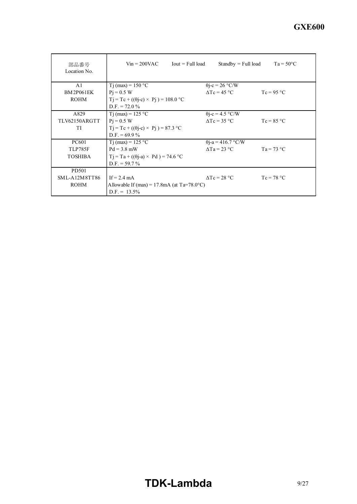| 部品番号<br>Location No. | $Vin = 200VAC$ Iout = Full load                      | $Standby = Full load$     | $Ta = 50^{\circ}C$ |
|----------------------|------------------------------------------------------|---------------------------|--------------------|
| A <sub>1</sub>       | T <sub>j</sub> (max) = $150 °C$                      | $\theta$ j-c = 26 °C/W    |                    |
| <b>BM2P061EK</b>     | $Pi = 0.5 W$                                         | $\Delta Tc = 45$ °C       | $Tc = 95 °C$       |
| <b>ROHM</b>          | $Tj = Tc + ((\theta j - c) \times Pj) = 108.0$ °C    |                           |                    |
|                      | $D.F. = 72.0 \%$                                     |                           |                    |
| A829                 | T <sub>j</sub> (max) = $125 °C$                      | $\theta$ j-c = 4.5 °C/W   |                    |
| TLV62150ARGTT        | $Pi = 0.5 W$                                         | $\Delta Tc = 35$ °C       | $Tc = 85 °C$       |
| TI                   | $Tj = Tc + ((\theta j - c) \times Pj) = 87.3$ °C     |                           |                    |
|                      | $D.F. = 69.9 \%$                                     |                           |                    |
| <b>PC601</b>         | T <sub>j</sub> (max) = $125 °C$                      | $\theta$ j-a = 416.7 °C/W |                    |
| TLP785F              | $Pd = 3.8$ mW                                        | $\Delta$ Ta = 23 °C       | $Ta = 73 °C$       |
| <b>TOSHIBA</b>       | $T_1 = Ta + ((\theta_{1-}a) \times Pd) = 74.6$ °C    |                           |                    |
|                      | $D.F. = 59.7\%$                                      |                           |                    |
| PD501                |                                                      |                           |                    |
| $SML-A12M8TT86$      | If $= 2.4$ mA                                        | $\Lambda$ Tc = 28 °C      | $T_c = 78 °C$      |
| <b>ROHM</b>          | Allowable If (max) = 17.8mA (at $Ta=78.0^{\circ}C$ ) |                           |                    |
|                      | $D.F. = 13.5\%$                                      |                           |                    |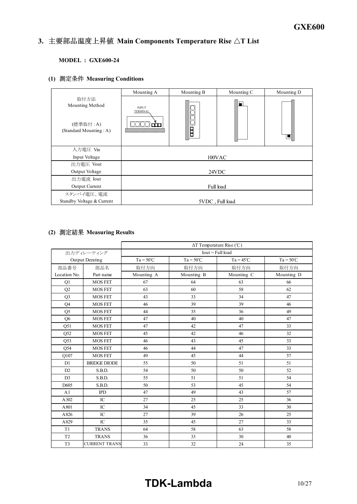#### *INSTRUCTION MANUAL* 3. 主要部品温度上昇值 Main Components Temperature Rise  $\Delta T$  List

# **MODEL : GXE600-24**

# **(1) Measuring Conditions**

|                                                               | Mounting A                      | Mounting B | Mounting C      | Mounting D |
|---------------------------------------------------------------|---------------------------------|------------|-----------------|------------|
| 取付方法<br>Mounting Method<br>(標準取付:A)<br>(Standard Mounting: A) | <b>INPUT</b><br><b>TERMINAL</b> | B          | H               | ⊔          |
| 入力電圧 Vin                                                      |                                 |            |                 |            |
| Input Voltage                                                 |                                 |            | 100VAC          |            |
| 出力電圧 Vout                                                     |                                 |            |                 |            |
| Output Voltage                                                |                                 |            | 24VDC           |            |
| 出力電流 Iout                                                     |                                 |            |                 |            |
| Output Current                                                | Full load                       |            |                 |            |
| スタンバイ電圧、電流                                                    |                                 |            |                 |            |
| Standby Voltage & Current                                     |                                 |            | 5VDC, Full load |            |

# **(2) Measuring Results**

|                |                        | $\Delta T$ Temperature Rise (°C) |                    |                    |                    |
|----------------|------------------------|----------------------------------|--------------------|--------------------|--------------------|
| 出力ディレーティング     |                        | $Iout = Full load$               |                    |                    |                    |
|                | <b>Output Derating</b> | $Ta = 50^{\circ}C$               | $Ta = 50^{\circ}C$ | $Ta = 45^{\circ}C$ | $Ta = 50^{\circ}C$ |
| 部品番号           | 部品名                    | 取付方向                             | 取付方向               | 取付方向               | 取付方向               |
| Location No.   | Part name              | Mounting A                       | Mounting B         | Mounting C         | Mounting D         |
| Q1             | <b>MOS FET</b>         | 67                               | 64                 | 63                 | 66                 |
| Q <sub>2</sub> | <b>MOS FET</b>         | 63                               | 60                 | 58                 | 62                 |
| Q <sub>3</sub> | <b>MOS FET</b>         | 43                               | 33                 | 34                 | 47                 |
| Q4             | <b>MOS FET</b>         | 46                               | 39                 | 39                 | 46                 |
| Q <sub>5</sub> | <b>MOS FET</b>         | 44                               | 35                 | 36                 | 49                 |
| Q <sub>6</sub> | <b>MOS FET</b>         | 47                               | 40                 | 40                 | 47                 |
| Q51            | <b>MOS FET</b>         | 47                               | 42                 | 47                 | 33                 |
| Q52            | <b>MOS FET</b>         | 45                               | 42                 | 46                 | 32                 |
| Q53            | <b>MOS FET</b>         | 46                               | 43                 | 45                 | 33                 |
| Q54            | <b>MOS FET</b>         | 46                               | 44                 | 47                 | 33                 |
| Q107           | <b>MOS FET</b>         | 49                               | 45                 | 44                 | 57                 |
| D1             | <b>BRIDGE DIODE</b>    | 55                               | 50                 | 51                 | 51                 |
| D2             | S.B.D.                 | 54                               | 50                 | 50                 | 52                 |
| D <sub>3</sub> | S.B.D.                 | 55                               | 51                 | 51                 | 54                 |
| D605           | S.B.D.                 | 50                               | 53                 | 45                 | 54                 |
| A1             | <b>IPD</b>             | 47                               | 49                 | 43                 | 57                 |
| A302           | IC                     | 27                               | 25                 | 25                 | 36                 |
| A801           | IC                     | 34                               | 45                 | 33                 | 30                 |
| A826           | IC                     | 27                               | 39                 | 26                 | 25                 |
| A829           | IC                     | 35                               | 45                 | 27                 | 33                 |
| T <sub>1</sub> | <b>TRANS</b>           | 64                               | 58                 | 63                 | 58                 |
| T <sub>2</sub> | <b>TRANS</b>           | 36                               | 33                 | 30                 | 40                 |
| T <sub>3</sub> | <b>CURRENT TRANS</b>   | 33                               | 32                 | 24                 | 35                 |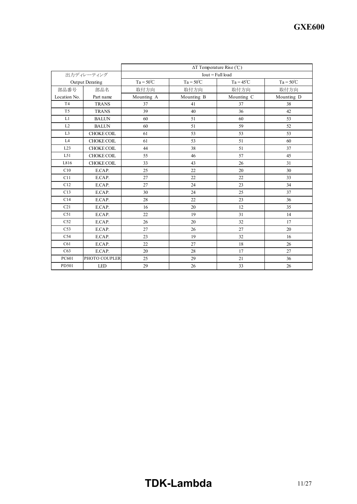|                 |                        | $\Delta T$ Temperature Rise (°C) |                    |                    |                    |  |  |  |  |  |  |  |  |  |
|-----------------|------------------------|----------------------------------|--------------------|--------------------|--------------------|--|--|--|--|--|--|--|--|--|
|                 | 出力ディレーティング             | $Iout = Full load$               |                    |                    |                    |  |  |  |  |  |  |  |  |  |
|                 | <b>Output Derating</b> | $Ta = 50^{\circ}C$               | $Ta = 50^{\circ}C$ | $Ta = 45^{\circ}C$ | $Ta = 50^{\circ}C$ |  |  |  |  |  |  |  |  |  |
| 部品番号            | 部品名                    | 取付方向                             | 取付方向               | 取付方向               | 取付方向               |  |  |  |  |  |  |  |  |  |
| Location No.    | Part name              | Mounting A                       | Mounting B         | Mounting C         | Mounting D         |  |  |  |  |  |  |  |  |  |
| T <sub>4</sub>  | <b>TRANS</b>           | 37                               | 41                 | 37                 | 38                 |  |  |  |  |  |  |  |  |  |
| T <sub>5</sub>  | <b>TRANS</b>           | 39                               | 40                 | 36                 | 42                 |  |  |  |  |  |  |  |  |  |
| L1              | <b>BALUN</b>           | 60                               | 51                 | 60                 | 53                 |  |  |  |  |  |  |  |  |  |
| L2              | <b>BALUN</b>           | 60                               | 51                 | 59                 | 52                 |  |  |  |  |  |  |  |  |  |
| L <sub>3</sub>  | CHOKE COIL             | 61                               | 53                 | 53                 | 53                 |  |  |  |  |  |  |  |  |  |
| L <sub>4</sub>  | <b>CHOKE COIL</b>      | 61                               | 53                 | 51                 | 60                 |  |  |  |  |  |  |  |  |  |
| L23             | <b>CHOKE COIL</b>      | 44                               | 38                 | 51                 | 37                 |  |  |  |  |  |  |  |  |  |
| L51             | <b>CHOKE COIL</b>      | 55                               | 46                 | 57                 | 45                 |  |  |  |  |  |  |  |  |  |
| L816            | <b>CHOKE COIL</b>      | 33                               | 43                 | 26                 | 31                 |  |  |  |  |  |  |  |  |  |
| C10             | E.CAP.                 | 25                               | 22                 | 20                 | 30                 |  |  |  |  |  |  |  |  |  |
| C11             | E.CAP.                 | 27                               | 22                 | 22                 | 33                 |  |  |  |  |  |  |  |  |  |
| C12             | E.CAP.                 | 27                               | 24                 | 23                 | 34                 |  |  |  |  |  |  |  |  |  |
| C13             | E.CAP.                 | 30                               | 24                 | 25                 | 37                 |  |  |  |  |  |  |  |  |  |
| C14             | E.CAP.                 | 28                               | 22                 | 23                 | 36                 |  |  |  |  |  |  |  |  |  |
| C <sub>21</sub> | E.CAP.                 | 16                               | 20                 | 12                 | 35                 |  |  |  |  |  |  |  |  |  |
| C51             | E.CAP.                 | 22                               | 19                 | 31                 | 14                 |  |  |  |  |  |  |  |  |  |
| C52             | E.CAP.                 | 26                               | 20                 | 32                 | 17                 |  |  |  |  |  |  |  |  |  |
| C <sub>53</sub> | E.CAP.                 | 27                               | 26                 | 27                 | 20                 |  |  |  |  |  |  |  |  |  |
| C54             | E.CAP.                 | 23                               | 19                 | 32                 | 16                 |  |  |  |  |  |  |  |  |  |
| C61             | E.CAP.                 | 22                               | 27                 | 18                 | 26                 |  |  |  |  |  |  |  |  |  |
| C63             | E.CAP.                 | 20                               | 28                 | 17                 | 27                 |  |  |  |  |  |  |  |  |  |
| PC601           | PHOTO COUPLER          | 25                               | 29                 | 21                 | 36                 |  |  |  |  |  |  |  |  |  |
| PD501           | <b>LED</b>             | 29                               | 26                 | 33                 | 26                 |  |  |  |  |  |  |  |  |  |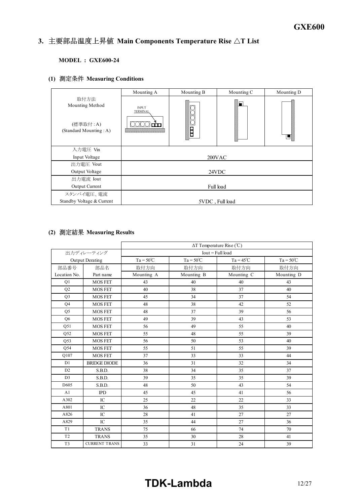#### *INSTRUCTION MANUAL* 3. 主要部品温度上昇值 Main Components Temperature Rise  $\Delta T$  List

# **MODEL : GXE600-24**

# **(1) Measuring Conditions**

|                                                               | Mounting A                      | Mounting B | Mounting C | Mounting D |  |  |  |  |  |
|---------------------------------------------------------------|---------------------------------|------------|------------|------------|--|--|--|--|--|
| 取付方法<br>Mounting Method<br>(標準取付:A)<br>(Standard Mounting: A) | <b>INPUT</b><br><b>TERMINAL</b> | B          | H          | ⊔          |  |  |  |  |  |
| 入力電圧 Vin                                                      |                                 |            |            |            |  |  |  |  |  |
| Input Voltage                                                 |                                 |            | 200VAC     |            |  |  |  |  |  |
| 出力電圧 Vout                                                     |                                 |            |            |            |  |  |  |  |  |
| Output Voltage                                                |                                 |            | 24VDC      |            |  |  |  |  |  |
| 出力電流 Iout                                                     |                                 |            |            |            |  |  |  |  |  |
| Output Current                                                | Full load                       |            |            |            |  |  |  |  |  |
| スタンバイ電圧、電流                                                    |                                 |            |            |            |  |  |  |  |  |
| Standby Voltage & Current                                     | 5VDC, Full load                 |            |            |            |  |  |  |  |  |

# **(2) Measuring Results**

|                |                      | $\Delta T$ Temperature Rise (°C) |                    |                    |                    |  |  |  |  |  |  |  |  |  |
|----------------|----------------------|----------------------------------|--------------------|--------------------|--------------------|--|--|--|--|--|--|--|--|--|
| 出力ディレーティング     |                      | $Iout = Full load$               |                    |                    |                    |  |  |  |  |  |  |  |  |  |
|                | Output Derating      | $Ta = 50^{\circ}C$               | $Ta = 50^{\circ}C$ | $Ta = 45^{\circ}C$ | $Ta = 50^{\circ}C$ |  |  |  |  |  |  |  |  |  |
| 部品番号           | 部品名                  | 取付方向                             | 取付方向               | 取付方向               | 取付方向               |  |  |  |  |  |  |  |  |  |
| Location No.   | Part name            | Mounting A                       | Mounting B         | Mounting C         | Mounting D         |  |  |  |  |  |  |  |  |  |
| Q1             | <b>MOS FET</b>       | 43                               | 40                 | 40                 | 43                 |  |  |  |  |  |  |  |  |  |
| Q2             | <b>MOS FET</b>       | 40                               | 38                 | 37                 | 40                 |  |  |  |  |  |  |  |  |  |
| Q <sub>3</sub> | <b>MOS FET</b>       | 45                               | 34                 | 37                 | 54                 |  |  |  |  |  |  |  |  |  |
| Q4             | <b>MOS FET</b>       | 48                               | 38                 | 42                 | 52                 |  |  |  |  |  |  |  |  |  |
| Q <sub>5</sub> | <b>MOS FET</b>       | 48                               | 37                 | 39                 | 56                 |  |  |  |  |  |  |  |  |  |
| Q <sub>6</sub> | <b>MOS FET</b>       | 49                               | 39                 | 43                 | 53                 |  |  |  |  |  |  |  |  |  |
| Q51            | <b>MOS FET</b>       | 56                               | 49                 | 55                 | 40                 |  |  |  |  |  |  |  |  |  |
| Q52            | <b>MOS FET</b>       | 55                               | 48                 | 55                 | 39                 |  |  |  |  |  |  |  |  |  |
| Q53            | <b>MOS FET</b>       | 56                               | 50                 | 53                 | 40                 |  |  |  |  |  |  |  |  |  |
| Q54            | <b>MOS FET</b>       | 55                               | 51                 | 55                 | 39                 |  |  |  |  |  |  |  |  |  |
| Q107           | <b>MOS FET</b>       | 37                               | 33                 | 33                 | 44                 |  |  |  |  |  |  |  |  |  |
| D1             | <b>BRIDGE DIODE</b>  | 36                               | 31                 | 32                 | 34                 |  |  |  |  |  |  |  |  |  |
| D2             | S.B.D.               | 38                               | 34                 | 35                 | 37                 |  |  |  |  |  |  |  |  |  |
| D <sub>3</sub> | S.B.D.               | 39                               | 35                 | 35                 | 39                 |  |  |  |  |  |  |  |  |  |
| D605           | S.B.D.               | 48                               | 50                 | 43                 | 54                 |  |  |  |  |  |  |  |  |  |
| A1             | <b>IPD</b>           | 45                               | 45                 | 41                 | 56                 |  |  |  |  |  |  |  |  |  |
| A302           | IC                   | 25                               | 22                 | 22                 | 33                 |  |  |  |  |  |  |  |  |  |
| A801           | $_{\rm IC}$          | 36                               | 48                 | 35                 | 33                 |  |  |  |  |  |  |  |  |  |
| A826           | IC                   | 28                               | 41                 | 27                 | 27                 |  |  |  |  |  |  |  |  |  |
| A829           | IC                   | 35                               | 44                 | 27                 | 36                 |  |  |  |  |  |  |  |  |  |
| T <sub>1</sub> | <b>TRANS</b>         | 75                               | 66                 | 74                 | 70                 |  |  |  |  |  |  |  |  |  |
| T <sub>2</sub> | <b>TRANS</b>         | 35                               | 30                 | 28                 | 41                 |  |  |  |  |  |  |  |  |  |
| T <sub>3</sub> | <b>CURRENT TRANS</b> | 33                               | 31                 | 24                 | 39                 |  |  |  |  |  |  |  |  |  |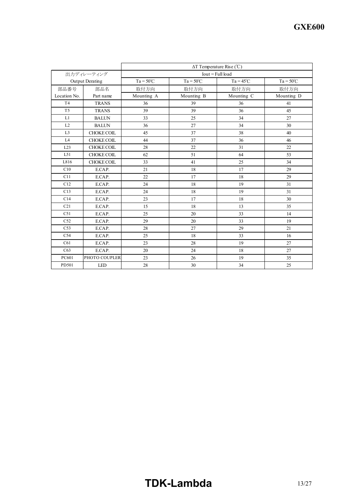|                 |                        | $\Delta T$ Temperature Rise (°C) |                    |                    |                    |  |  |  |  |  |  |  |  |  |
|-----------------|------------------------|----------------------------------|--------------------|--------------------|--------------------|--|--|--|--|--|--|--|--|--|
|                 | 出力ディレーティング             | $Iout = Full load$               |                    |                    |                    |  |  |  |  |  |  |  |  |  |
|                 | <b>Output Derating</b> | $Ta = 50^{\circ}C$               | $Ta = 50^{\circ}C$ | $Ta = 45^{\circ}C$ | $Ta = 50^{\circ}C$ |  |  |  |  |  |  |  |  |  |
| 部品番号            | 部品名                    | 取付方向                             | 取付方向               | 取付方向               | 取付方向               |  |  |  |  |  |  |  |  |  |
| Location No.    | Part name              | Mounting A                       | Mounting B         | Mounting C         | Mounting D         |  |  |  |  |  |  |  |  |  |
| T <sub>4</sub>  | <b>TRANS</b>           | 36                               | 39                 | 36                 | 41                 |  |  |  |  |  |  |  |  |  |
| T <sub>5</sub>  | <b>TRANS</b>           | 39                               | 39                 | 36                 | 45                 |  |  |  |  |  |  |  |  |  |
| L1              | <b>BALUN</b>           | 33                               | 25                 | 34                 | 27                 |  |  |  |  |  |  |  |  |  |
| L2              | <b>BALUN</b>           | 36                               | 27                 | 34                 | 30                 |  |  |  |  |  |  |  |  |  |
| L <sub>3</sub>  | CHOKE COIL             | 45                               | 37                 | 38                 | 40                 |  |  |  |  |  |  |  |  |  |
| L4              | <b>CHOKE COIL</b>      | 44                               | 37                 | 36                 | 46                 |  |  |  |  |  |  |  |  |  |
| L23             | <b>CHOKE COIL</b>      | 28                               | 22                 | 31                 | 22                 |  |  |  |  |  |  |  |  |  |
| L51             | CHOKE COIL             | 62                               | 51                 | 64                 | 53                 |  |  |  |  |  |  |  |  |  |
| L816            | <b>CHOKE COIL</b>      | 33                               | 41                 | 25                 | 34                 |  |  |  |  |  |  |  |  |  |
| C10             | E.CAP.                 | 21                               | 18                 | 17                 | 29                 |  |  |  |  |  |  |  |  |  |
| C11             | E.CAP.                 | 22                               | 17                 | 18                 | 29                 |  |  |  |  |  |  |  |  |  |
| C12             | E.CAP.                 | 24                               | 18                 | 19                 | 31                 |  |  |  |  |  |  |  |  |  |
| C13             | E.CAP.                 | 24                               | 18                 | 19                 | 31                 |  |  |  |  |  |  |  |  |  |
| C14             | E.CAP.                 | 23                               | 17                 | 18                 | 30                 |  |  |  |  |  |  |  |  |  |
| C21             | E.CAP.                 | 15                               | 18                 | 13                 | 35                 |  |  |  |  |  |  |  |  |  |
| C51             | E.CAP.                 | 25                               | 20                 | 33                 | 14                 |  |  |  |  |  |  |  |  |  |
| C52             | E.CAP.                 | 29                               | 20                 | 33                 | 19                 |  |  |  |  |  |  |  |  |  |
| C <sub>53</sub> | E.CAP.                 | 28                               | 27                 | 29                 | 21                 |  |  |  |  |  |  |  |  |  |
| C54             | E.CAP.                 | 25                               | 18                 | 33                 | 16                 |  |  |  |  |  |  |  |  |  |
| C61             | E.CAP.                 | 23                               | 28                 | 19                 | 27                 |  |  |  |  |  |  |  |  |  |
| C63             | E.CAP.                 | 20                               | 24                 | 18                 | 27                 |  |  |  |  |  |  |  |  |  |
| PC601           | PHOTO COUPLER          | 23                               | 26                 | 19                 | 35                 |  |  |  |  |  |  |  |  |  |
| PD501           | <b>LED</b>             | 28                               | 30                 | 34                 | 25                 |  |  |  |  |  |  |  |  |  |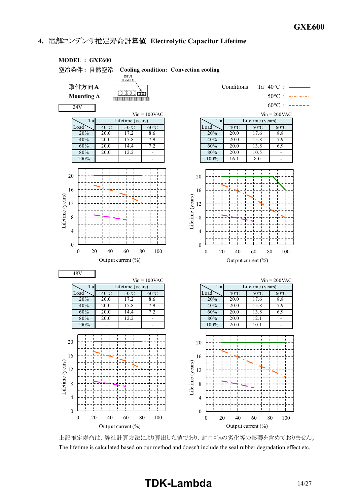# **4. Electrolytic Capacitor Lifetime**



上記推定寿命は、弊社計算方法により算出した値であり、封口ゴムの劣化等の影響を含めておりません。 The lifetime is calculated based on our method and doesn't include the seal rubber degradation effect etc.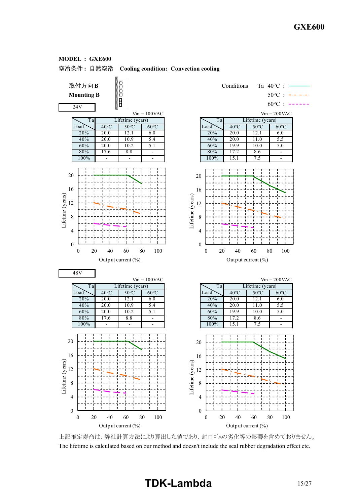

### **: Cooling condition: Convection cooling**



上記推定寿命は、弊社計算方法により算出した値であり、封口ゴムの劣化等の影響を含めておりません。 The lifetime is calculated based on our method and doesn't include the seal rubber degradation effect etc.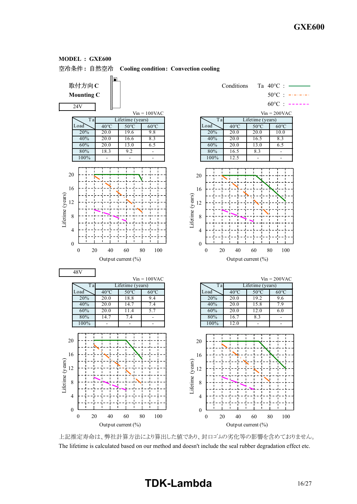

### **MODEL : GXE600**

上記推定寿命は、弊社計算方法により算出した値であり、封口ゴムの劣化等の影響を含めておりません。 The lifetime is calculated based on our method and doesn't include the seal rubber degradation effect etc.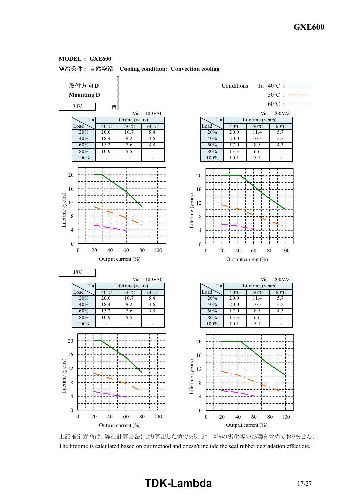

**MODEL : GXE600**

上記推定寿命は、弊社計算方法により算出した値であり、封口ゴムの劣化等の影響を含めておりません。 The lifetime is calculated based on our method and doesn't include the seal rubber degradation effect etc.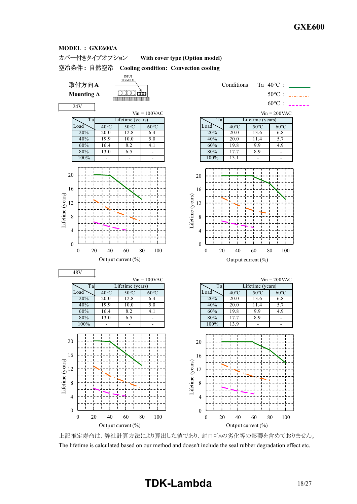#### カバー付きタイプオプション **With cover type (Option model)**

**: Cooling condition: Convection cooling**



24V

48V

0

0 20 40 60 80 100

Output current (%)

4

8 Lifetime (years)<br> $\frac{1}{2}$ 

Lifetime (years)

16

20

0

4

8

12

Lifetime (years)

Lifetime (years)

16

20





0 20 40 60 80 100

Output current (%)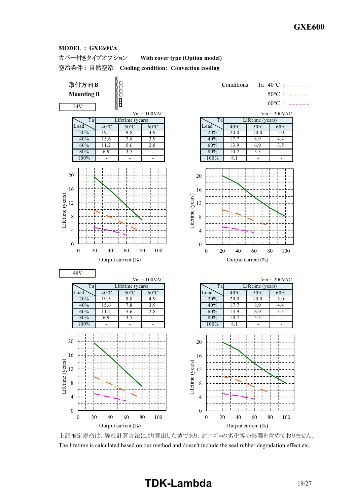#### カバー付きタイプオプション **With cover type (Option model)**

**: Cooling condition: Convection cooling**



上記推定寿命は、弊社計算方法により算出した値であり、封口ゴムの劣化等の影響を含めておりません。 The lifetime is calculated based on our method and doesn't include the seal rubber degradation effect etc.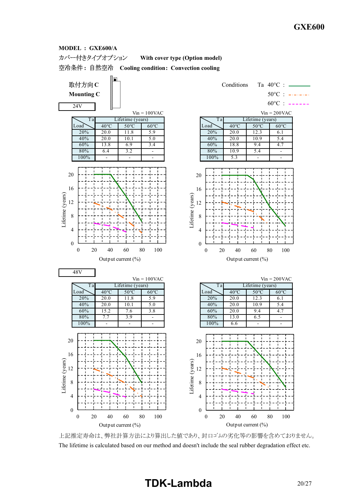#### カバー付きタイプオプション **With cover type (Option model)**

**: Cooling condition: Convection cooling**



上記推定寿命は、弊社計算方法により算出した値であり、封口ゴムの劣化等の影響を含めておりません。 The lifetime is calculated based on our method and doesn't include the seal rubber degradation effect etc.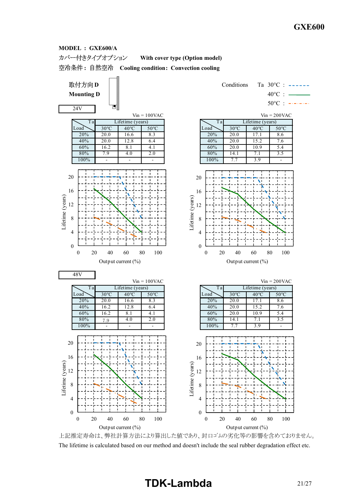#### カバー付きタイプオプション **With cover type (Option model)**

**: Cooling condition: Convection cooling**



上記推定寿命は、弊社計算方法により算出した値であり、封口ゴムの劣化等の影響を含めておりません。 The lifetime is calculated based on our method and doesn't include the seal rubber degradation effect etc.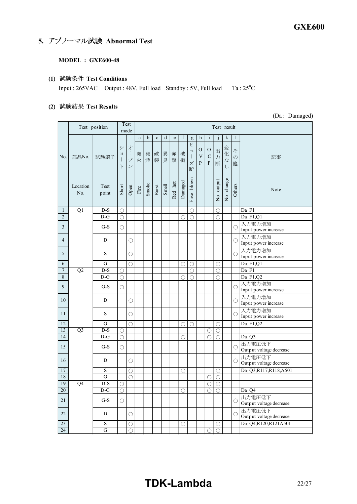# **5. アブノーマル試験 Abnormal Test**

## **MODEL : GXE600-48**

# **(1) Test Conditions**

Input : 265VAC Output : 48V, Full load Standby : 5V, Full load Ta : 25°C

# **(2) Test Results**

(Da : Damaged)

|                | Test position   |                  |                            | Test                                                                        | Test result           |             |                       |             |                                                                                          |                       |                                                              |                                              |                                                              |                             |                       |                              |                                   |
|----------------|-----------------|------------------|----------------------------|-----------------------------------------------------------------------------|-----------------------|-------------|-----------------------|-------------|------------------------------------------------------------------------------------------|-----------------------|--------------------------------------------------------------|----------------------------------------------|--------------------------------------------------------------|-----------------------------|-----------------------|------------------------------|-----------------------------------|
|                |                 |                  |                            | mode                                                                        |                       |             |                       |             |                                                                                          |                       |                                                              |                                              |                                                              |                             |                       |                              |                                   |
| No.            | 部品No.           | 試験端子             | シ<br>$\exists$<br>$\vdash$ | オ<br>$\begin{array}{c} \hline \end{array}$<br>ブ<br>$\overline{\phantom{a}}$ | a<br>発<br>火           | b<br>発<br>煙 | $\mathbf c$<br>破<br>裂 | d<br>異<br>臭 | $\mathbf{e}% _{B}=\mathbf{e}_{B}+\mathbf{e}_{B}+\mathbf{e}_{B}+\mathbf{e}_{B}$<br>赤<br>熱 | $\mathbf f$<br>破<br>損 | g<br>Ł<br>$\overline{\phantom{a}}$<br>$\mathbf{I}$<br>ズ<br>断 | h<br>$\rm ^o$<br>$\mathbf V$<br>$\mathbf{P}$ | $\mathbf{i}$<br>$\mathcal{O}$<br>$\mathbf C$<br>$\mathbf{P}$ | $\mathbf{1}$<br>出<br>力<br>断 | k<br>変<br>化<br>な<br>U | 1<br>そ<br>$\mathcal{O}$<br>他 | 記事                                |
|                | Location<br>No. | Test<br>point    | Short                      | Open                                                                        | $\operatorname{Fire}$ | Smoke       | Burst                 | Smell       | Red hot                                                                                  | Damaged               | blown<br>Fuse                                                |                                              |                                                              | output<br>$\frac{1}{2}$     | No change             | Others                       | Note                              |
| $\mathbf{1}$   | $\overline{Q1}$ | $D-S$            | O                          |                                                                             |                       |             |                       |             |                                                                                          |                       | $\bigcirc$                                                   |                                              |                                                              | О                           |                       |                              | Da: F1                            |
| $\overline{2}$ |                 | $\overline{D-G}$ | $\bigcirc$                 |                                                                             |                       |             |                       |             |                                                                                          | O                     | $\bigcirc$                                                   |                                              |                                                              | $\bigcirc$                  |                       |                              | Da: F1, Q1                        |
| 3              |                 | $G-S$            | О                          |                                                                             |                       |             |                       |             |                                                                                          |                       |                                                              |                                              |                                                              |                             |                       | О                            | 入力電力増加<br>Input power increase    |
| $\overline{4}$ |                 | D                |                            | $\bigcirc$                                                                  |                       |             |                       |             |                                                                                          |                       |                                                              |                                              |                                                              |                             |                       | $\bigcirc$                   | 入力電力増加<br>Input power increase    |
| 5              |                 | S                |                            | $\bigcirc$                                                                  |                       |             |                       |             |                                                                                          |                       |                                                              |                                              |                                                              |                             |                       | $\bigcirc$                   | 入力電力増加<br>Input power increase    |
| 6              |                 | G                |                            | $\bigcirc$                                                                  |                       |             |                       |             |                                                                                          | $\bigcirc$            | $\bigcirc$                                                   |                                              |                                                              | $\bigcirc$                  |                       |                              | $Da$ <sub>:</sub> $F1,Q1$         |
| 7              | Q2              | $D-S$            | ∩                          |                                                                             |                       |             |                       |             |                                                                                          |                       | 0                                                            |                                              |                                                              | О                           |                       |                              | Da: F1                            |
| 8              |                 | $D-G$            | O                          |                                                                             |                       |             |                       |             |                                                                                          | ∩                     | ∩                                                            |                                              |                                                              | ◯                           |                       |                              | Da: F1, Q2                        |
| 9              |                 | $G-S$            | $\bigcirc$                 |                                                                             |                       |             |                       |             |                                                                                          |                       |                                                              |                                              |                                                              |                             |                       | О                            | 入力電力増加<br>Input power increase    |
| 10             |                 | D                |                            | $\circlearrowright$                                                         |                       |             |                       |             |                                                                                          |                       |                                                              |                                              |                                                              |                             |                       | $\bigcirc$                   | 入力電力増加<br>Input power increase    |
| 11             |                 | S                |                            | О                                                                           |                       |             |                       |             |                                                                                          |                       |                                                              |                                              |                                                              |                             |                       | $\bigcirc$                   | 入力電力増加<br>Input power increase    |
| 12             |                 | G                |                            | О                                                                           |                       |             |                       |             |                                                                                          | O                     | О                                                            |                                              |                                                              | О                           |                       |                              | Da: F1, Q2                        |
| 13             | Q <sub>3</sub>  | $D-S$            | O                          |                                                                             |                       |             |                       |             |                                                                                          |                       |                                                              |                                              | O                                                            | $\bigcirc$                  |                       |                              |                                   |
| 14             |                 | $D-G$            | $\bigcirc$                 |                                                                             |                       |             |                       |             |                                                                                          | ∩                     |                                                              |                                              | ◯                                                            | $\bigcirc$                  |                       |                              | Da:Q3                             |
| 15             |                 | $G-S$            | $\circlearrowright$        |                                                                             |                       |             |                       |             |                                                                                          |                       |                                                              |                                              |                                                              |                             |                       | $\bigcirc$                   | 出力電圧低下<br>Output voltage decrease |
| 16             |                 | D                |                            | O                                                                           |                       |             |                       |             |                                                                                          |                       |                                                              |                                              |                                                              |                             |                       | $\bigcirc$                   | 出力電圧低下<br>Output voltage decrease |
| 17             |                 | S                |                            | ◯                                                                           |                       |             |                       |             |                                                                                          | ∩                     |                                                              |                                              |                                                              | ◯                           |                       |                              | Da: Q3,R117,R118,A501             |
| 18             |                 | $\overline{G}$   |                            | ∩                                                                           |                       |             |                       |             |                                                                                          |                       |                                                              |                                              | O                                                            | O                           |                       |                              |                                   |
| 19             | Q <sub>4</sub>  | $D-S$            | O                          |                                                                             |                       |             |                       |             |                                                                                          |                       |                                                              |                                              | О                                                            | $\bigcirc$                  |                       |                              |                                   |
| 20             |                 | $D-G$            | $\bigcirc$                 |                                                                             |                       |             |                       |             |                                                                                          | О                     |                                                              |                                              | $\bigcirc$                                                   | $\bigcirc$                  |                       |                              | Da:Q4                             |
| 21             |                 | $G-S$            | $\bigcirc$                 |                                                                             |                       |             |                       |             |                                                                                          |                       |                                                              |                                              |                                                              |                             |                       | О                            | 出力電圧低下<br>Output voltage decrease |
| 22             |                 | D                |                            | О                                                                           |                       |             |                       |             |                                                                                          |                       |                                                              |                                              |                                                              |                             |                       | $\bigcirc$                   | 出力電圧低下<br>Output voltage decrease |
| 23             |                 | S                |                            | О                                                                           |                       |             |                       |             |                                                                                          | О                     |                                                              |                                              |                                                              | О                           |                       |                              | Da: Q4, R120, R121A501            |
| 24             |                 | $\overline{G}$   |                            | O                                                                           |                       |             |                       |             |                                                                                          |                       |                                                              |                                              | 0                                                            | О                           |                       |                              |                                   |

# **TDK-Lambda** 22/27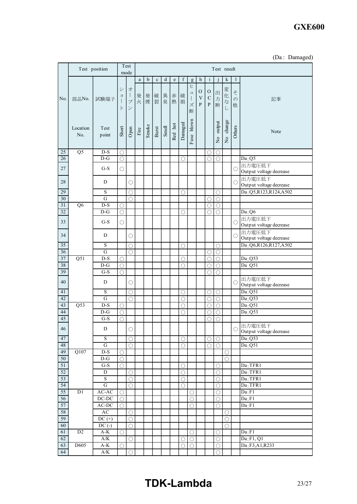# **GXE600**

|  | (Da: Damaged) |
|--|---------------|
|--|---------------|

|                       |                  | Test position                        |                                 | Test<br>mode                                       | Test result           |        |             |             |             |                           |                                           |                                                |                                  |                          |                     |                         |                                   |
|-----------------------|------------------|--------------------------------------|---------------------------------|----------------------------------------------------|-----------------------|--------|-------------|-------------|-------------|---------------------------|-------------------------------------------|------------------------------------------------|----------------------------------|--------------------------|---------------------|-------------------------|-----------------------------------|
|                       |                  |                                      |                                 |                                                    | $\rm{a}$              | b      | $\mathbf c$ | $\mathbf d$ | $\mathbf e$ | $\boldsymbol{\mathrm{f}}$ | g                                         | $\mathbf h$                                    | $\mathbf{i}$                     | i                        | k                   | 1                       |                                   |
| No.                   | 部品No.            | 試験端子                                 | シ<br>$\Xi$<br>$\mathbf{I}$<br>ト | 才<br>$\mathbf{I}$<br>$\mathcal{I}$<br>$\checkmark$ | 発<br>火                | 発<br>煙 | 破<br>裂      | 異           | 赤<br>臭熱     | 破<br>損                    | Ł<br>$\square$<br>$\mathcal{I}$<br>ズ<br>断 | $\mathbf{O}$<br>$\ensuremath{\mathbf{V}}$<br>P | $\mathbf{O}$<br>$\mathbf C$<br>P | 出<br>力<br>断              | 変化<br>$\vec{z}$     | そ<br>$\mathcal{O}$<br>他 | 記事                                |
|                       | Location<br>No.  | Test<br>point                        | Short                           | Open                                               | $\operatorname{Fire}$ | Smoke  | Burst       | Smell       | Red hot     | Damaged                   | Fuse blown                                |                                                |                                  | output<br>$\frac{1}{2}$  | No change           | Others                  | Note                              |
| $25\,$                | $\overline{Q5}$  | $D-S$                                | Ο                               |                                                    |                       |        |             |             |             |                           |                                           |                                                | ∩                                | O                        |                     |                         |                                   |
| 26                    |                  | $D-G$                                | $\circ$                         |                                                    |                       |        |             |             |             | O                         |                                           |                                                | $\bigcirc$                       | $\bigcirc$               |                     |                         | Da:Q5                             |
| 27                    |                  | $G-S$                                | $\bigcirc$                      |                                                    |                       |        |             |             |             |                           |                                           |                                                |                                  |                          |                     | $\bigcirc$              | 出力電圧低下<br>Output voltage decrease |
| 28                    |                  | D                                    |                                 | O                                                  |                       |        |             |             |             |                           |                                           |                                                |                                  |                          |                     | $\bigcirc$              | 出力電圧低下<br>Output voltage decrease |
| 29                    |                  | S                                    |                                 | $\circ$                                            |                       |        |             |             |             | О                         |                                           |                                                |                                  | О                        |                     |                         | Da: Q5, R123, R124, A502          |
| 30                    |                  | $\overline{G}$                       |                                 | ∩                                                  |                       |        |             |             |             |                           |                                           |                                                | ∩                                | Ο                        |                     |                         |                                   |
| $31\,$                | Q <sub>6</sub>   | $D-S$                                | $\circlearrowright$             |                                                    |                       |        |             |             |             |                           |                                           |                                                | O                                | O                        |                     |                         |                                   |
| 32                    |                  | $D-G$                                | $\bigcirc$                      |                                                    |                       |        |             |             |             | О                         |                                           |                                                | ∩                                | $\bigcirc$               |                     |                         | Da:Q6                             |
| 33                    |                  | $G-S$                                | $\circlearrowright$             |                                                    |                       |        |             |             |             |                           |                                           |                                                |                                  |                          |                     | $\bigcirc$              | 出力電圧低下<br>Output voltage decrease |
| 34                    |                  | D                                    |                                 | O                                                  |                       |        |             |             |             |                           |                                           |                                                |                                  |                          |                     | $\bigcirc$              | 出力電圧低下<br>Output voltage decrease |
| $\overline{35}$       |                  | $\mathbf S$                          |                                 | ∩                                                  |                       |        |             |             |             | ∩                         |                                           |                                                |                                  | O                        |                     |                         | Da: Q6,R126,R127,A502             |
| 36                    |                  | $\overline{G}$                       |                                 | ∩                                                  |                       |        |             |             |             |                           |                                           |                                                | О                                | О                        |                     |                         |                                   |
| 37                    | Q51              | $D-S$                                | $\bigcirc$                      |                                                    |                       |        |             |             |             | O                         |                                           |                                                | $\bigcirc$                       | $\bigcirc$               |                     |                         | Da:Q53                            |
| 38                    |                  | $D-G$                                | $\bigcirc$                      |                                                    |                       |        |             |             |             | $\bigcirc$                |                                           |                                                | $\bigcirc$                       | $\circlearrowright$      |                     |                         | Da Q51                            |
| 39<br>40              |                  | $G-S$<br>D                           | $\bigcirc$                      | $\circ$                                            |                       |        |             |             |             |                           |                                           |                                                | $\bigcirc$                       | $\bigcirc$               |                     | $\bigcirc$              | 出力電圧低下                            |
| 41                    |                  | $\mathbf S$                          |                                 |                                                    |                       |        |             |             |             |                           |                                           |                                                |                                  |                          |                     |                         | Output voltage decrease<br>Da:Q51 |
| 42                    |                  | G                                    |                                 | O<br>$\bigcirc$                                    |                       |        |             |             |             | O<br>O                    |                                           |                                                | O<br>O                           | O<br>Ο                   |                     |                         | Da:Q53                            |
| 43                    | $\overline{Q53}$ | $D-S$                                | $\bigcirc$                      |                                                    |                       |        |             |             |             | O                         |                                           |                                                | O                                | Ο                        |                     |                         | Da <sub>2</sub> Q51               |
| 44                    |                  | $D-G$                                | $\bigcirc$                      |                                                    |                       |        |             |             |             | $\bigcirc$                |                                           |                                                | $\bigcirc$                       | $\bigcirc$               |                     |                         | Da:Q53                            |
| 45                    |                  | $G-S$                                | $\bigcirc$                      |                                                    |                       |        |             |             |             |                           |                                           |                                                | $\bigcirc$                       | $\bigcirc$               |                     |                         |                                   |
| 46                    |                  | D                                    |                                 | $\bigcirc$                                         |                       |        |             |             |             |                           |                                           |                                                |                                  |                          |                     | $\bigcirc$              | 出力電圧低下<br>Output voltage decrease |
| 47                    |                  | $\mathbf S$                          |                                 | O                                                  |                       |        |             |             |             | O                         |                                           |                                                | $\bigcirc$                       | $\bigcirc$               |                     |                         | Da:Q53                            |
| 48                    |                  | $\overline{G}$                       |                                 | $\bigcirc$                                         |                       |        |             |             |             | $\bigcirc$                |                                           |                                                | $\bigcirc$                       | Ο                        |                     |                         | Da:Q51                            |
| 49                    | Q107             | $D-S$                                | $\bigcirc$                      |                                                    |                       |        |             |             |             |                           |                                           |                                                |                                  |                          | O                   |                         |                                   |
| 50                    |                  | $\mathbf{D}\text{-}\mathbf{G}$       | $\bigcirc$                      |                                                    |                       |        |             |             |             |                           |                                           |                                                |                                  |                          | $\circlearrowright$ |                         |                                   |
| 51                    |                  | $G-S$                                | $\bigcirc$                      |                                                    |                       |        |             |             |             | O                         |                                           |                                                |                                  | O                        |                     |                         | Da:TFR1                           |
| 52                    |                  | D                                    |                                 | $\circ$                                            |                       |        |             |             |             | $\bigcirc$                |                                           |                                                |                                  | $\bigcirc$               |                     |                         | Da:TFR1                           |
| 53<br>$\overline{54}$ |                  | $\overline{\mathbf{S}}$<br>${\bf G}$ |                                 | $\circ$<br>$\circ$                                 |                       |        |             |             |             | $\bigcirc$<br>$\bigcirc$  |                                           |                                                |                                  | $\bigcirc$<br>$\bigcirc$ |                     |                         | Da:TFR1<br>Da:TFR1                |
| 55                    | D1               | $AC-AC$                              | О                               |                                                    |                       |        |             |             |             |                           | $\bigcirc$                                |                                                |                                  | О                        |                     |                         | Da: F1                            |
| 56                    |                  | $DC-DC$                              | $\bigcirc$                      |                                                    |                       |        |             |             |             |                           | $\bigcirc$                                |                                                |                                  | $\bigcirc$               |                     |                         | Da: F1                            |
| 57                    |                  | $AC-DC$                              | $\circ$                         |                                                    |                       |        |             |             |             |                           | $\bigcirc$                                |                                                |                                  | $\circ$                  |                     |                         | Da: F1                            |
| 58                    |                  | AC                                   |                                 | $\circlearrowright$                                |                       |        |             |             |             |                           |                                           |                                                |                                  |                          | О                   |                         |                                   |
| 59                    |                  | $DC (+)$                             |                                 | $\bigcirc$                                         |                       |        |             |             |             |                           |                                           |                                                |                                  |                          | $\bigcirc$          |                         |                                   |
| 60                    |                  | $DC(-)$                              |                                 | $\bigcirc$                                         |                       |        |             |             |             |                           |                                           |                                                |                                  |                          | $\circlearrowright$ |                         |                                   |
| 61                    | $\overline{D2}$  | $A-K$                                | O                               |                                                    |                       |        |             |             |             |                           | $\circlearrowright$                       |                                                |                                  | О                        |                     |                         | Da: F1                            |
| 62                    |                  | $\mathbf{A}/\mathbf{K}$              |                                 | O                                                  |                       |        |             |             |             | O                         | $\bigcirc$                                |                                                |                                  | О                        |                     |                         | Da: F1, Q1                        |
| 63                    | D605             | $\mathrm{A}\text{-}\mathrm{K}$       | Ο                               |                                                    |                       |        |             |             |             | $\bigcirc$                | $\bigcirc$                                |                                                |                                  | $\bigcirc$               |                     |                         | Da:F3,A1,R233                     |
| 64                    |                  | $\overline{A/K}$                     |                                 | $\bigcirc$                                         |                       |        |             |             |             |                           |                                           |                                                |                                  | $\bigcirc$               |                     |                         |                                   |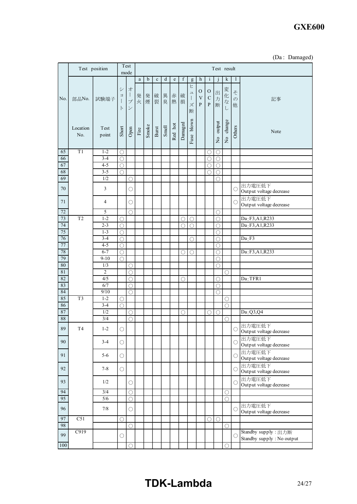# **GXE600**

|  | (Da: Damaged) |
|--|---------------|

|          | Test position    |                          |                        | Test<br>mode                            |             |        |             |         |                                                                                |             |                                               |                                                |                                              | Test result         |                          |                         |                                                  |
|----------|------------------|--------------------------|------------------------|-----------------------------------------|-------------|--------|-------------|---------|--------------------------------------------------------------------------------|-------------|-----------------------------------------------|------------------------------------------------|----------------------------------------------|---------------------|--------------------------|-------------------------|--------------------------------------------------|
|          |                  |                          |                        |                                         | $\rm{a}$    | b      | $\mathbf c$ | $\rm d$ | $\mathbf{e}% _{B}=\mathbf{e}_{B}+\mathbf{e}_{B}+\mathbf{e}_{B}+\mathbf{e}_{B}$ | $\mathbf f$ | g                                             | $\mathbf{h}$                                   | $\mathbf{i}$                                 |                     | k                        | $\mathbf{I}$            |                                                  |
| No.      | 部品No.            | 試験端子                     | シ<br>$\Xi$<br>$\vdash$ | 才<br>$\frac{1}{2}$<br>プ<br>$\checkmark$ | 発<br>火      | 発<br>煙 | 破<br>裂      | 異<br>臭  | 赤<br>熱                                                                         | 破<br>損      | Ŀ<br>$\mathfrak{p}$<br>$\mathbf{I}$<br>ズ<br>断 | O<br>$\ensuremath{\mathbf{V}}$<br>$\mathbf{P}$ | $\mathcal{O}$<br>$\mathbf C$<br>$\mathbf{P}$ | 出<br>力<br>断         | 変<br>化<br>$\vec{z}$<br>L | そ<br>$\mathcal{O}$<br>他 | 記事                                               |
|          | Location<br>No.  | Test<br>point            | Short                  | Open                                    | $\rm{Fire}$ | Smoke  | Burst       | Smell   | Red hot                                                                        | Damaged     | blown<br>Fuse                                 |                                                |                                              | No output           | No change                | Others                  | Note                                             |
| 65       | T1               | $1 - 2$                  | $\bigcirc$             |                                         |             |        |             |         |                                                                                |             |                                               |                                                | О                                            | $\circ$             |                          |                         |                                                  |
| 66       |                  | $3 - 4$                  | $\bigcirc$             |                                         |             |        |             |         |                                                                                |             |                                               |                                                | $\bigcirc$                                   | $\bigcirc$          |                          |                         |                                                  |
| 67       |                  | $4 - 5$                  | О                      |                                         |             |        |             |         |                                                                                |             |                                               |                                                | О                                            | $\bigcirc$          |                          |                         |                                                  |
| 68       |                  | $3 - 5$                  | $\circlearrowright$    |                                         |             |        |             |         |                                                                                |             |                                               |                                                | O                                            | $\circ$             |                          |                         |                                                  |
| 69       |                  | 1/2                      |                        | 0                                       |             |        |             |         |                                                                                |             |                                               |                                                |                                              | ◯                   |                          |                         |                                                  |
| 70       |                  | $\mathfrak{Z}$           |                        | $\circlearrowright$                     |             |        |             |         |                                                                                |             |                                               |                                                |                                              |                     |                          | C                       | 出力電圧低下<br>Output voltage decrease                |
| 71       |                  | 4                        |                        | O                                       |             |        |             |         |                                                                                |             |                                               |                                                |                                              |                     |                          | C                       | 出力電圧低下<br>Output voltage decrease                |
| 72       |                  | 5                        |                        | $\circlearrowright$                     |             |        |             |         |                                                                                |             |                                               |                                                |                                              | $\bigcirc$          |                          |                         |                                                  |
| 73       | T <sub>2</sub>   | $1 - 2$                  | O                      |                                         |             |        |             |         |                                                                                | O           | О                                             |                                                |                                              | $\bigcirc$          |                          |                         | Da:F3,A1,R233                                    |
| 74       |                  | $2 - 3$                  | ◯                      |                                         |             |        |             |         |                                                                                | ∩           | ∩                                             |                                                |                                              | $\bigcirc$          |                          |                         | Da:F3,A1,R233                                    |
| 75       |                  | $1 - 3$                  | $\bigcirc$             |                                         |             |        |             |         |                                                                                |             |                                               |                                                |                                              | O                   |                          |                         |                                                  |
| 76       |                  | $3 - 4$                  | Ο                      |                                         |             |        |             |         |                                                                                |             | ∩                                             |                                                |                                              | O                   |                          |                         | Da: F3                                           |
| 77       |                  | $4 - 5$                  | $\circ$                |                                         |             |        |             |         |                                                                                |             |                                               |                                                |                                              | $\bigcirc$          |                          |                         |                                                  |
| 78<br>79 |                  | $6 - 7$                  | $\bigcirc$             |                                         |             |        |             |         |                                                                                | O           | O                                             |                                                |                                              | $\circ$             |                          |                         | Da:F3,A1,R233                                    |
| $80\,$   |                  | $9 - 10$<br>1/3          | $\circlearrowright$    |                                         |             |        |             |         |                                                                                |             |                                               |                                                |                                              | $\circ$             |                          |                         |                                                  |
| $81\,$   |                  | $\overline{2}$           |                        | O<br>0                                  |             |        |             |         |                                                                                |             |                                               |                                                |                                              | $\bigcirc$          | 0                        |                         |                                                  |
| 82       |                  | 4/5                      |                        | ∩                                       |             |        |             |         |                                                                                | O           |                                               |                                                |                                              | $\circlearrowright$ |                          |                         | $Da$ : TFR1                                      |
| 83       |                  | 6/7                      |                        | O                                       |             |        |             |         |                                                                                |             |                                               |                                                |                                              | O                   |                          |                         |                                                  |
| 84       |                  | 9/10                     |                        | ◯                                       |             |        |             |         |                                                                                |             |                                               |                                                |                                              | $\bigcirc$          |                          |                         |                                                  |
| 85       | T <sub>3</sub>   | $1 - 2$                  | O                      |                                         |             |        |             |         |                                                                                |             |                                               |                                                |                                              |                     | O                        |                         |                                                  |
| 86       |                  | $3-4$                    | $\circlearrowright$    |                                         |             |        |             |         |                                                                                |             |                                               |                                                |                                              |                     | O                        |                         |                                                  |
| 87       |                  | 1/2                      |                        | O                                       |             |        |             |         |                                                                                | О           |                                               |                                                | О                                            | $\circ$             |                          |                         | Da: Q3, Q4                                       |
| $\bf 88$ |                  | 3/4                      |                        | ∩                                       |             |        |             |         |                                                                                |             |                                               |                                                |                                              |                     | O                        |                         |                                                  |
| $\bf 89$ | T <sub>4</sub>   | $1 - 2$                  | $\bigcirc$             |                                         |             |        |             |         |                                                                                |             |                                               |                                                |                                              |                     |                          |                         | ○出力電圧低下<br>Output voltage decrease               |
| 90       |                  | $3 - 4$                  | $\bigcirc$             |                                         |             |        |             |         |                                                                                |             |                                               |                                                |                                              |                     |                          | C                       | 出力電圧低下<br>Output voltage decrease                |
| 91       |                  | $5 - 6$                  | $\bigcirc$             |                                         |             |        |             |         |                                                                                |             |                                               |                                                |                                              |                     |                          | $\bigcirc$              | 出力電圧低下<br>Output voltage decrease                |
| 92       |                  | $7 - 8$                  | $\bigcirc$             |                                         |             |        |             |         |                                                                                |             |                                               |                                                |                                              |                     |                          | $\bigcirc$              | 出力電圧低下<br>Output voltage decrease                |
| 93       |                  | 1/2                      |                        | $\bigcirc$                              |             |        |             |         |                                                                                |             |                                               |                                                |                                              |                     |                          | $\bigcirc$              | 出力電圧低下<br>Output voltage decrease                |
| 94       |                  | $\overline{\frac{3}{4}}$ |                        | O                                       |             |        |             |         |                                                                                |             |                                               |                                                |                                              |                     | О                        |                         |                                                  |
| 95       |                  | 5/6                      |                        | $\bigcirc$                              |             |        |             |         |                                                                                |             |                                               |                                                |                                              |                     | $\bigcirc$               |                         |                                                  |
| 96       |                  | 7/8                      |                        | $\bigcirc$                              |             |        |             |         |                                                                                |             |                                               |                                                |                                              |                     |                          | C                       | 出力電圧低下<br>Output voltage decrease                |
| 97       | $\overline{C51}$ |                          | $\bigcirc$             |                                         |             |        |             |         |                                                                                |             |                                               |                                                | $\bigcirc$                                   | $\circ$             |                          |                         |                                                  |
| 98       |                  |                          |                        | Ο                                       |             |        |             |         |                                                                                |             |                                               |                                                |                                              |                     | $\circlearrowright$      |                         |                                                  |
| 99       | C919             |                          | О                      |                                         |             |        |             |         |                                                                                |             |                                               |                                                |                                              |                     |                          | C                       | Standby supply: 出力断<br>Standby supply: No output |
| 100      |                  |                          |                        | $\bigcirc$                              |             |        |             |         |                                                                                |             |                                               |                                                |                                              |                     | $\bigcirc$               |                         |                                                  |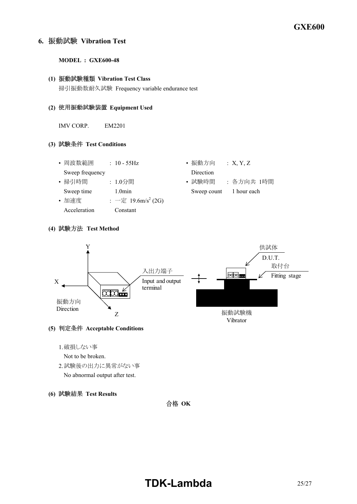# **6. Vibration Test**

### **MODEL : GXE600-48**

# **(1) Vibration Test Class**

掃引振動数耐久試験 Frequency variable endurance test

### **(2) Equipment Used**

IMV CORP. EM2201

## **(3) Test Conditions**

- 周波数範囲 : 10 55Hz • 振動方向 : X, Y, Z Sweep frequency Direction
- 
- 加速度 : 一定 19.6m/s<sup>2</sup> (2G) Acceleration Constant
- 
- 掃引時間 : 1.0分間 • 試験時間 : 各方向共 1時間 Sweep time 1.0min Sweep count 1 hour each

# **(4) Test Method**



# **(5) Acceptable Conditions**

1.破損しない事

Not to be broken.

- 2.試験後の出力に異常がない事 No abnormal output after test.
- **(6) Test Results**

合格 OK

# **TDK-Lambda** 25/27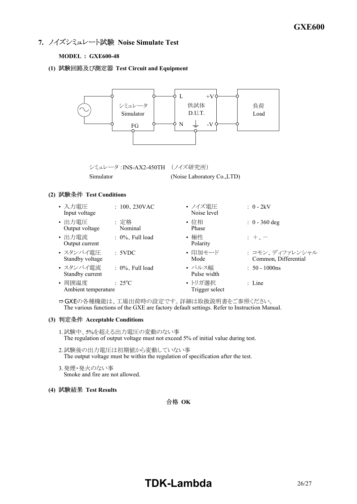**7. ノイズシミュレート試験 Noise Simulate Test** 

# **MODEL : GXE600-48**

**(1) Test Circuit and Equipment**



IZGの各種機能は、工場出荷時の設定です。詳細は取扱説明書をご参照ください。 The various functions of the GXE are factory default settings. Refer to Instruction Manual.

### **(3) Acceptable Conditions**

- 1.試験中、5%を超える出力電圧の変動のない事 The regulation of output voltage must not exceed 5% of initial value during test.
- 2.試験後の出力電圧は初期値から変動していない事 The output voltage must be within the regulation of specification after the test.
- 3.発煙・発火のない事 Smoke and fire are not allowed.

## **(4) Test Results**

# 合格 OK

# **TDK-Lambda** 26/27